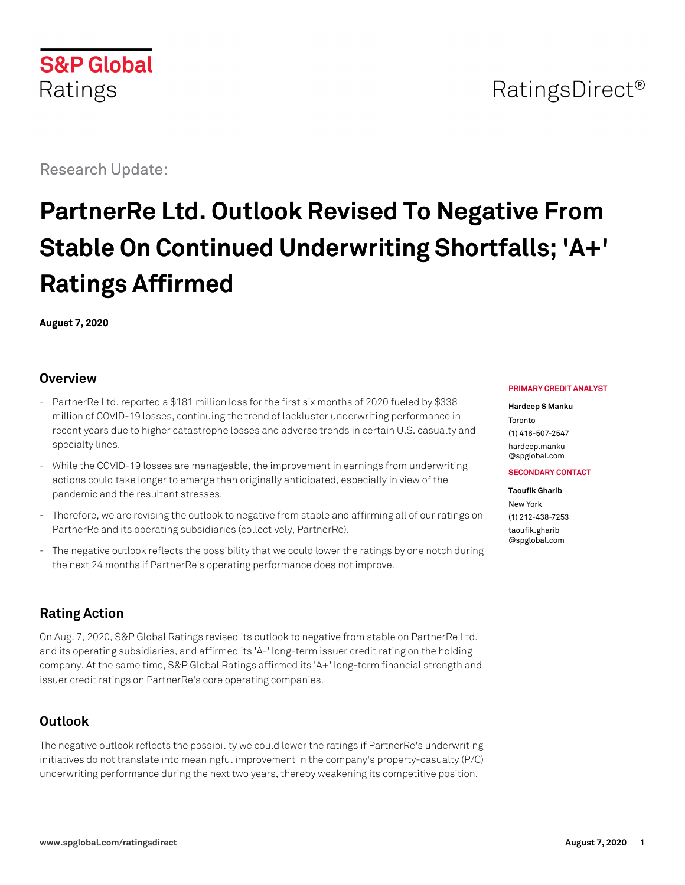Research Update:

# **PartnerRe Ltd. Outlook Revised To Negative From Stable On Continued Underwriting Shortfalls; 'A+' Ratings Affirmed**

**August 7, 2020**

# **Overview**

- PartnerRe Ltd. reported a \$181 million loss for the first six months of 2020 fueled by \$338 million of COVID-19 losses, continuing the trend of lackluster underwriting performance in recent years due to higher catastrophe losses and adverse trends in certain U.S. casualty and specialty lines.
- While the COVID-19 losses are manageable, the improvement in earnings from underwriting actions could take longer to emerge than originally anticipated, especially in view of the pandemic and the resultant stresses.
- Therefore, we are revising the outlook to negative from stable and affirming all of our ratings on PartnerRe and its operating subsidiaries (collectively, PartnerRe).
- The negative outlook reflects the possibility that we could lower the ratings by one notch during the next 24 months if PartnerRe's operating performance does not improve.

# **Rating Action**

On Aug. 7, 2020, S&P Global Ratings revised its outlook to negative from stable on PartnerRe Ltd. and its operating subsidiaries, and affirmed its 'A-' long-term issuer credit rating on the holding company. At the same time, S&P Global Ratings affirmed its 'A+' long-term financial strength and issuer credit ratings on PartnerRe's core operating companies.

# **Outlook**

The negative outlook reflects the possibility we could lower the ratings if PartnerRe's underwriting initiatives do not translate into meaningful improvement in the company's property-casualty (P/C) underwriting performance during the next two years, thereby weakening its competitive position.

#### **PRIMARY CREDIT ANALYST**

#### **Hardeep S Manku**

Toronto (1) 416-507-2547 [hardeep.manku](mailto:hardeep.manku@spglobal.com) [@spglobal.com](mailto:hardeep.manku@spglobal.com)

**SECONDARY CONTACT**

**Taoufik Gharib** New York (1) 212-438-7253 [taoufik.gharib](mailto:taoufik.gharib@spglobal.com) [@spglobal.com](mailto:taoufik.gharib@spglobal.com)

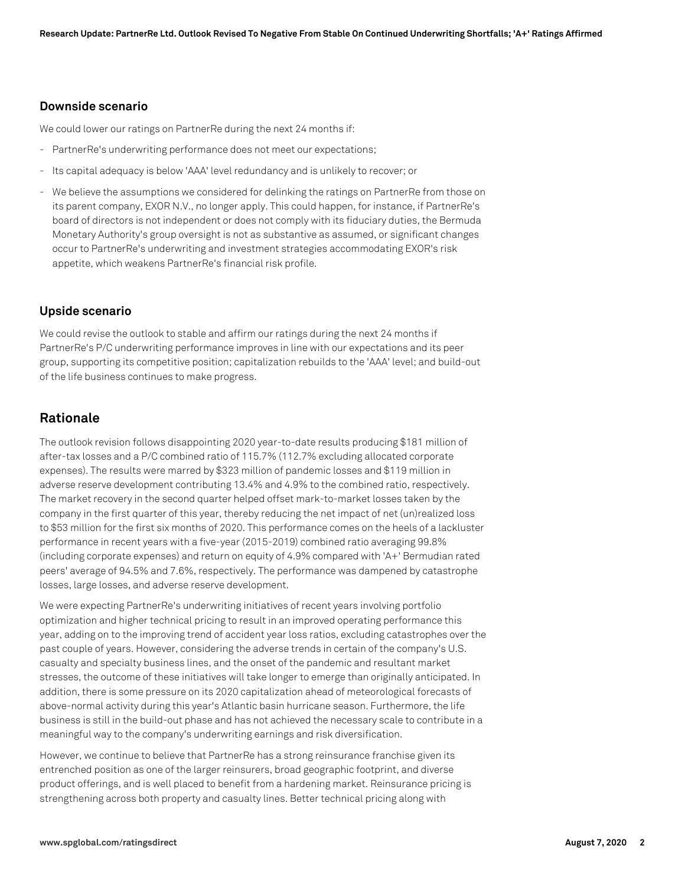### **Downside scenario**

We could lower our ratings on PartnerRe during the next 24 months if:

- PartnerRe's underwriting performance does not meet our expectations;
- Its capital adequacy is below 'AAA' level redundancy and is unlikely to recover; or
- We believe the assumptions we considered for delinking the ratings on PartnerRe from those on its parent company, EXOR N.V., no longer apply. This could happen, for instance, if PartnerRe's board of directors is not independent or does not comply with its fiduciary duties, the Bermuda Monetary Authority's group oversight is not as substantive as assumed, or significant changes occur to PartnerRe's underwriting and investment strategies accommodating EXOR's risk appetite, which weakens PartnerRe's financial risk profile.

#### **Upside scenario**

We could revise the outlook to stable and affirm our ratings during the next 24 months if PartnerRe's P/C underwriting performance improves in line with our expectations and its peer group, supporting its competitive position; capitalization rebuilds to the 'AAA' level; and build-out of the life business continues to make progress.

## **Rationale**

The outlook revision follows disappointing 2020 year-to-date results producing \$181 million of after-tax losses and a P/C combined ratio of 115.7% (112.7% excluding allocated corporate expenses). The results were marred by \$323 million of pandemic losses and \$119 million in adverse reserve development contributing 13.4% and 4.9% to the combined ratio, respectively. The market recovery in the second quarter helped offset mark-to-market losses taken by the company in the first quarter of this year, thereby reducing the net impact of net (un)realized loss to \$53 million for the first six months of 2020. This performance comes on the heels of a lackluster performance in recent years with a five-year (2015-2019) combined ratio averaging 99.8% (including corporate expenses) and return on equity of 4.9% compared with 'A+' Bermudian rated peers' average of 94.5% and 7.6%, respectively. The performance was dampened by catastrophe losses, large losses, and adverse reserve development.

We were expecting PartnerRe's underwriting initiatives of recent years involving portfolio optimization and higher technical pricing to result in an improved operating performance this year, adding on to the improving trend of accident year loss ratios, excluding catastrophes over the past couple of years. However, considering the adverse trends in certain of the company's U.S. casualty and specialty business lines, and the onset of the pandemic and resultant market stresses, the outcome of these initiatives will take longer to emerge than originally anticipated. In addition, there is some pressure on its 2020 capitalization ahead of meteorological forecasts of above-normal activity during this year's Atlantic basin hurricane season. Furthermore, the life business is still in the build-out phase and has not achieved the necessary scale to contribute in a meaningful way to the company's underwriting earnings and risk diversification.

However, we continue to believe that PartnerRe has a strong reinsurance franchise given its entrenched position as one of the larger reinsurers, broad geographic footprint, and diverse product offerings, and is well placed to benefit from a hardening market. Reinsurance pricing is strengthening across both property and casualty lines. Better technical pricing along with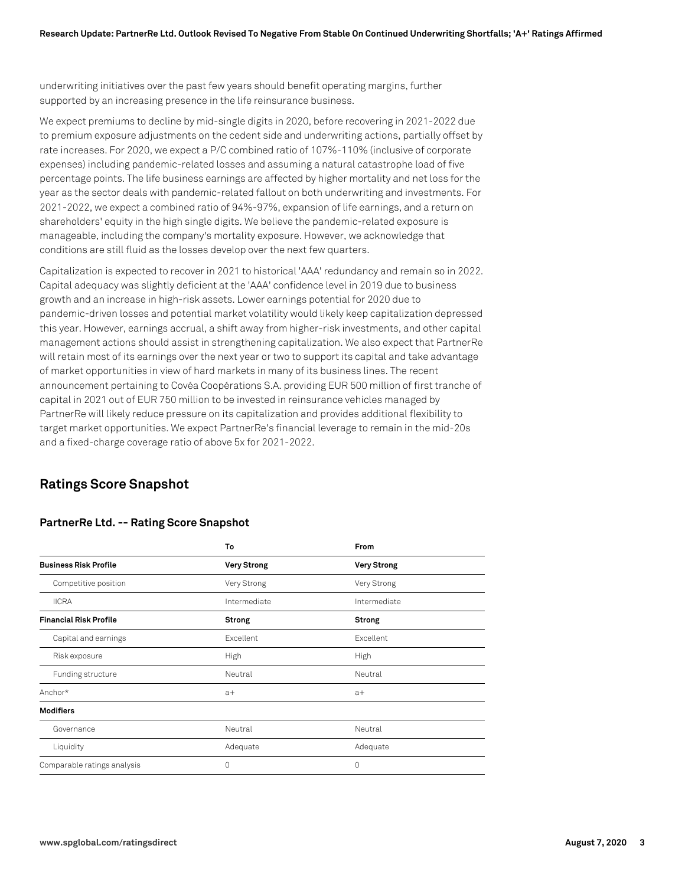underwriting initiatives over the past few years should benefit operating margins, further supported by an increasing presence in the life reinsurance business.

We expect premiums to decline by mid-single digits in 2020, before recovering in 2021-2022 due to premium exposure adjustments on the cedent side and underwriting actions, partially offset by rate increases. For 2020, we expect a P/C combined ratio of 107%-110% (inclusive of corporate expenses) including pandemic-related losses and assuming a natural catastrophe load of five percentage points. The life business earnings are affected by higher mortality and net loss for the year as the sector deals with pandemic-related fallout on both underwriting and investments. For 2021-2022, we expect a combined ratio of 94%-97%, expansion of life earnings, and a return on shareholders' equity in the high single digits. We believe the pandemic-related exposure is manageable, including the company's mortality exposure. However, we acknowledge that conditions are still fluid as the losses develop over the next few quarters.

Capitalization is expected to recover in 2021 to historical 'AAA' redundancy and remain so in 2022. Capital adequacy was slightly deficient at the 'AAA' confidence level in 2019 due to business growth and an increase in high-risk assets. Lower earnings potential for 2020 due to pandemic-driven losses and potential market volatility would likely keep capitalization depressed this year. However, earnings accrual, a shift away from higher-risk investments, and other capital management actions should assist in strengthening capitalization. We also expect that PartnerRe will retain most of its earnings over the next year or two to support its capital and take advantage of market opportunities in view of hard markets in many of its business lines. The recent announcement pertaining to Covéa Coopérations S.A. providing EUR 500 million of first tranche of capital in 2021 out of EUR 750 million to be invested in reinsurance vehicles managed by PartnerRe will likely reduce pressure on its capitalization and provides additional flexibility to target market opportunities. We expect PartnerRe's financial leverage to remain in the mid-20s and a fixed-charge coverage ratio of above 5x for 2021-2022.

# **Ratings Score Snapshot**

|                               | To                 | From               |
|-------------------------------|--------------------|--------------------|
| <b>Business Risk Profile</b>  | <b>Very Strong</b> | <b>Very Strong</b> |
| Competitive position          | Very Strong        | Very Strong        |
| <b>IICRA</b>                  | Intermediate       | Intermediate       |
| <b>Financial Risk Profile</b> | <b>Strong</b>      | Strong             |
| Capital and earnings          | Excellent          | Excellent          |
| Risk exposure                 | High               | High               |
| Funding structure             | Neutral            | Neutral            |
| Anchor*                       | $a+$               | $a+$               |
| <b>Modifiers</b>              |                    |                    |
| Governance                    | Neutral            | Neutral            |
| Liquidity                     | Adequate           | Adequate           |
| Comparable ratings analysis   | $\Omega$           | $\Omega$           |

#### **PartnerRe Ltd. -- Rating Score Snapshot**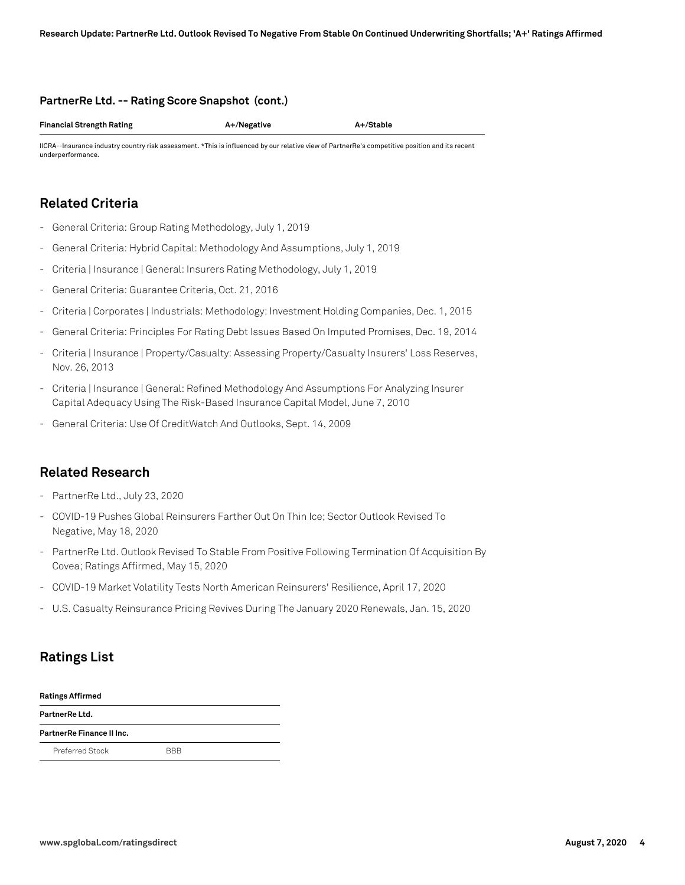#### **PartnerRe Ltd. -- Rating Score Snapshot (cont.)**

**Financial Strength Rating A+/Negative A+/Stable**

IICRA--Insurance industry country risk assessment. \*This is influenced by our relative view of PartnerRe's competitive position and its recent underperformance.

# **Related Criteria**

- General Criteria: Group Rating Methodology, July 1, 2019
- General Criteria: Hybrid Capital: Methodology And Assumptions, July 1, 2019
- Criteria | Insurance | General: Insurers Rating Methodology, July 1, 2019
- General Criteria: Guarantee Criteria, Oct. 21, 2016
- Criteria | Corporates | Industrials: Methodology: Investment Holding Companies, Dec. 1, 2015
- General Criteria: Principles For Rating Debt Issues Based On Imputed Promises, Dec. 19, 2014
- Criteria | Insurance | Property/Casualty: Assessing Property/Casualty Insurers' Loss Reserves, Nov. 26, 2013
- Criteria | Insurance | General: Refined Methodology And Assumptions For Analyzing Insurer Capital Adequacy Using The Risk-Based Insurance Capital Model, June 7, 2010
- General Criteria: Use Of CreditWatch And Outlooks, Sept. 14, 2009

# **Related Research**

- PartnerRe Ltd., July 23, 2020
- COVID-19 Pushes Global Reinsurers Farther Out On Thin Ice; Sector Outlook Revised To Negative, May 18, 2020
- PartnerRe Ltd. Outlook Revised To Stable From Positive Following Termination Of Acquisition By Covea; Ratings Affirmed, May 15, 2020
- COVID-19 Market Volatility Tests North American Reinsurers' Resilience, April 17, 2020
- U.S. Casualty Reinsurance Pricing Revives During The January 2020 Renewals, Jan. 15, 2020

# **Ratings List**

| <b>Ratings Affirmed</b>   |            |  |  |  |
|---------------------------|------------|--|--|--|
| PartnerRe Ltd.            |            |  |  |  |
| PartnerRe Finance II Inc. |            |  |  |  |
| Preferred Stock           | <b>BBB</b> |  |  |  |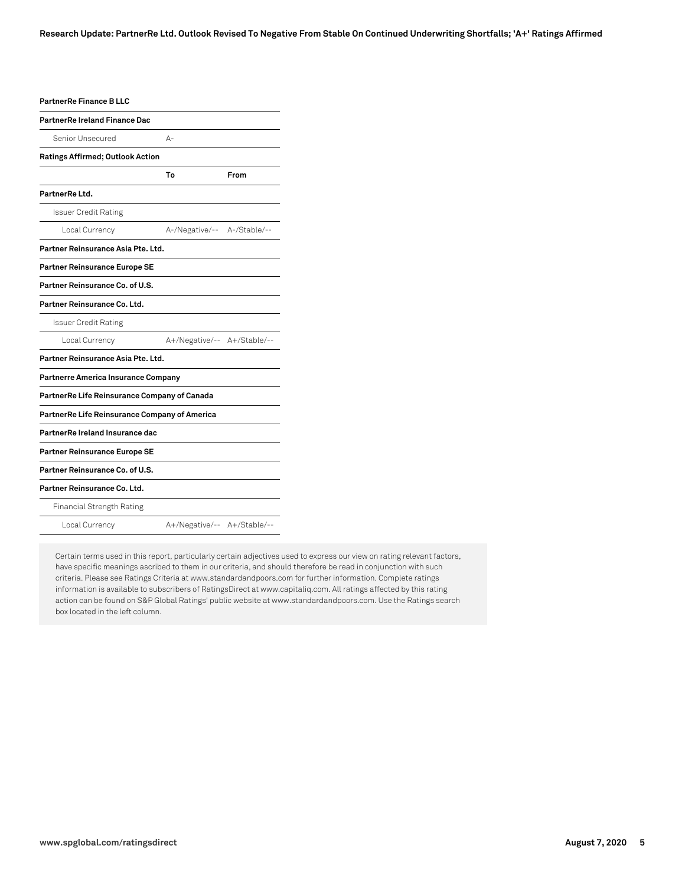| PartnerRe Finance B LLC                       |                             |      |
|-----------------------------------------------|-----------------------------|------|
| PartnerRe Ireland Finance Dac                 |                             |      |
| Senior Unsecured                              | А-                          |      |
| Ratings Affirmed; Outlook Action              |                             |      |
|                                               | To                          | From |
| PartnerRe Ltd.                                |                             |      |
| <b>Issuer Credit Rating</b>                   |                             |      |
| Local Currency                                | A-/Negative/-- A-/Stable/-- |      |
| Partner Reinsurance Asia Pte. Ltd.            |                             |      |
| <b>Partner Reinsurance Europe SE</b>          |                             |      |
| Partner Reinsurance Co. of U.S.               |                             |      |
| Partner Reinsurance Co. Ltd.                  |                             |      |
| <b>Issuer Credit Rating</b>                   |                             |      |
| Local Currency                                | A+/Negative/-- A+/Stable/-- |      |
| Partner Reinsurance Asia Pte. Ltd.            |                             |      |
| Partnerre America Insurance Company           |                             |      |
| PartnerRe Life Reinsurance Company of Canada  |                             |      |
| PartnerRe Life Reinsurance Company of America |                             |      |
| PartnerRe Ireland Insurance dac               |                             |      |
| Partner Reinsurance Europe SE                 |                             |      |
| Partner Reinsurance Co. of U.S.               |                             |      |
| Partner Reinsurance Co. Ltd.                  |                             |      |
| Financial Strength Rating                     |                             |      |
| Local Currency                                | A+/Negative/-- A+/Stable/-- |      |

Certain terms used in this report, particularly certain adjectives used to express our view on rating relevant factors, have specific meanings ascribed to them in our criteria, and should therefore be read in conjunction with such criteria. Please see Ratings Criteria at www.standardandpoors.com for further information. Complete ratings information is available to subscribers of RatingsDirect at www.capitaliq.com. All ratings affected by this rating action can be found on S&P Global Ratings' public website at www.standardandpoors.com. Use the Ratings search box located in the left column.